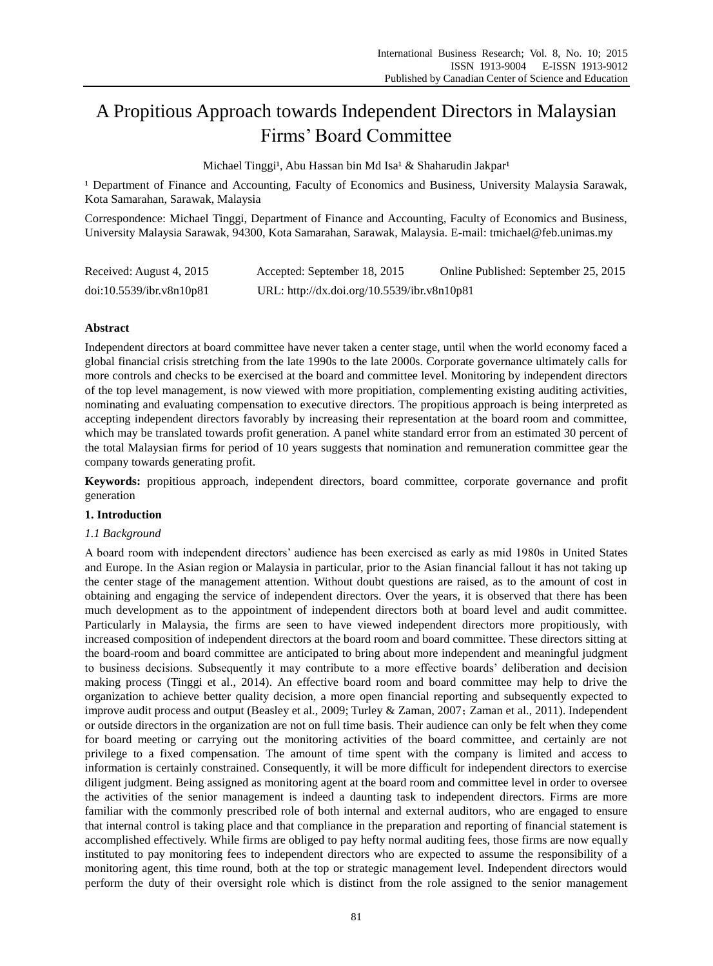# A Propitious Approach towards Independent Directors in Malaysian Firms' Board Committee

Michael Tinggi<sup>1</sup>, Abu Hassan bin Md Isa<sup>1</sup> & Shaharudin Jakpar<sup>1</sup>

<sup>1</sup> Department of Finance and Accounting, Faculty of Economics and Business, University Malaysia Sarawak, Kota Samarahan, Sarawak, Malaysia

Correspondence: Michael Tinggi, Department of Finance and Accounting, Faculty of Economics and Business, University Malaysia Sarawak, 94300, Kota Samarahan, Sarawak, Malaysia. E-mail: tmichael@feb.unimas.my

| Received: August 4, 2015 | Accepted: September 18, 2015                | Online Published: September 25, 2015 |
|--------------------------|---------------------------------------------|--------------------------------------|
| doi:10.5539/ibr.v8n10p81 | URL: http://dx.doi.org/10.5539/ibr.v8n10p81 |                                      |

# **Abstract**

Independent directors at board committee have never taken a center stage, until when the world economy faced a global financial crisis stretching from the late 1990s to the late 2000s. Corporate governance ultimately calls for more controls and checks to be exercised at the board and committee level. Monitoring by independent directors of the top level management, is now viewed with more propitiation, complementing existing auditing activities, nominating and evaluating compensation to executive directors. The propitious approach is being interpreted as accepting independent directors favorably by increasing their representation at the board room and committee, which may be translated towards profit generation. A panel white standard error from an estimated 30 percent of the total Malaysian firms for period of 10 years suggests that nomination and remuneration committee gear the company towards generating profit.

**Keywords:** propitious approach, independent directors, board committee, corporate governance and profit generation

## **1. Introduction**

## *1.1 Background*

A board room with independent directors' audience has been exercised as early as mid 1980s in United States and Europe. In the Asian region or Malaysia in particular, prior to the Asian financial fallout it has not taking up the center stage of the management attention. Without doubt questions are raised, as to the amount of cost in obtaining and engaging the service of independent directors. Over the years, it is observed that there has been much development as to the appointment of independent directors both at board level and audit committee. Particularly in Malaysia, the firms are seen to have viewed independent directors more propitiously, with increased composition of independent directors at the board room and board committee. These directors sitting at the board-room and board committee are anticipated to bring about more independent and meaningful judgment to business decisions. Subsequently it may contribute to a more effective boards' deliberation and decision making process (Tinggi et al., 2014). An effective board room and board committee may help to drive the organization to achieve better quality decision, a more open financial reporting and subsequently expected to improve audit process and output (Beasley et al., 2009; Turley & Zaman, 2007; Zaman et al., 2011). Independent or outside directors in the organization are not on full time basis. Their audience can only be felt when they come for board meeting or carrying out the monitoring activities of the board committee, and certainly are not privilege to a fixed compensation. The amount of time spent with the company is limited and access to information is certainly constrained. Consequently, it will be more difficult for independent directors to exercise diligent judgment. Being assigned as monitoring agent at the board room and committee level in order to oversee the activities of the senior management is indeed a daunting task to independent directors. Firms are more familiar with the commonly prescribed role of both internal and external auditors, who are engaged to ensure that internal control is taking place and that compliance in the preparation and reporting of financial statement is accomplished effectively. While firms are obliged to pay hefty normal auditing fees, those firms are now equally instituted to pay monitoring fees to independent directors who are expected to assume the responsibility of a monitoring agent, this time round, both at the top or strategic management level. Independent directors would perform the duty of their oversight role which is distinct from the role assigned to the senior management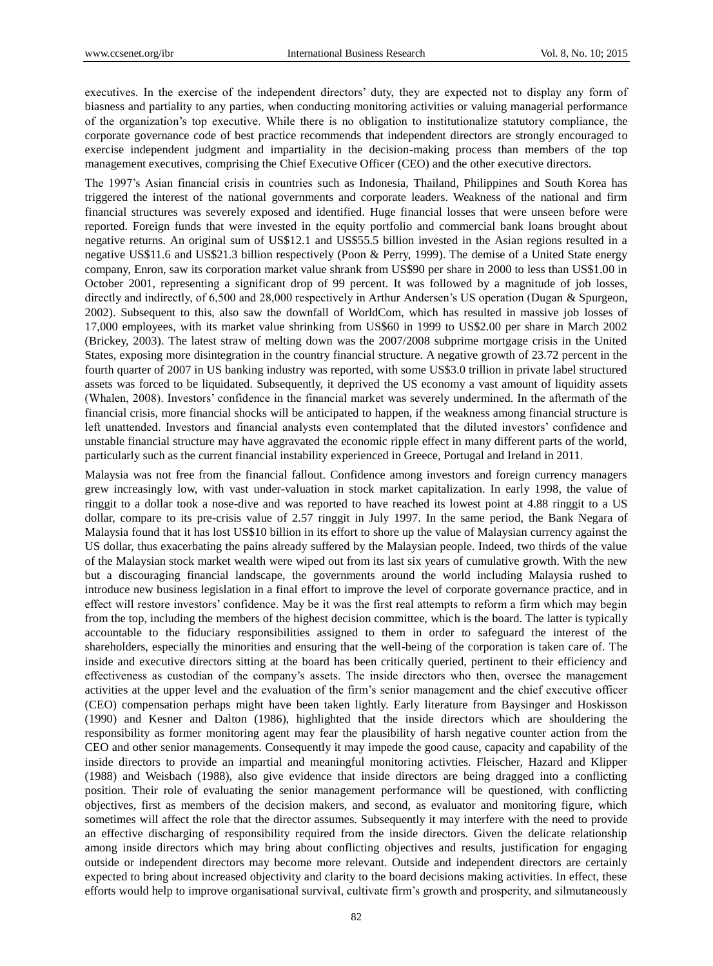executives. In the exercise of the independent directors' duty, they are expected not to display any form of biasness and partiality to any parties, when conducting monitoring activities or valuing managerial performance of the organization's top executive. While there is no obligation to institutionalize statutory compliance, the corporate governance code of best practice recommends that independent directors are strongly encouraged to exercise independent judgment and impartiality in the decision-making process than members of the top management executives, comprising the Chief Executive Officer (CEO) and the other executive directors.

The 1997's Asian financial crisis in countries such as Indonesia, Thailand, Philippines and South Korea has triggered the interest of the national governments and corporate leaders. Weakness of the national and firm financial structures was severely exposed and identified. Huge financial losses that were unseen before were reported. Foreign funds that were invested in the equity portfolio and commercial bank loans brought about negative returns. An original sum of US\$12.1 and US\$55.5 billion invested in the Asian regions resulted in a negative US\$11.6 and US\$21.3 billion respectively (Poon & Perry, 1999). The demise of a United State energy company, Enron, saw its corporation market value shrank from US\$90 per share in 2000 to less than US\$1.00 in October 2001, representing a significant drop of 99 percent. It was followed by a magnitude of job losses, directly and indirectly, of 6,500 and 28,000 respectively in Arthur Andersen's US operation (Dugan & Spurgeon, 2002). Subsequent to this, also saw the downfall of WorldCom, which has resulted in massive job losses of 17,000 employees, with its market value shrinking from US\$60 in 1999 to US\$2.00 per share in March 2002 (Brickey, 2003). The latest straw of melting down was the 2007/2008 subprime mortgage crisis in the United States, exposing more disintegration in the country financial structure. A negative growth of 23.72 percent in the fourth quarter of 2007 in US banking industry was reported, with some US\$3.0 trillion in private label structured assets was forced to be liquidated. Subsequently, it deprived the US economy a vast amount of liquidity assets (Whalen, 2008). Investors' confidence in the financial market was severely undermined. In the aftermath of the financial crisis, more financial shocks will be anticipated to happen, if the weakness among financial structure is left unattended. Investors and financial analysts even contemplated that the diluted investors' confidence and unstable financial structure may have aggravated the economic ripple effect in many different parts of the world, particularly such as the current financial instability experienced in Greece, Portugal and Ireland in 2011.

Malaysia was not free from the financial fallout. Confidence among investors and foreign currency managers grew increasingly low, with vast under-valuation in stock market capitalization. In early 1998, the value of ringgit to a dollar took a nose-dive and was reported to have reached its lowest point at 4.88 ringgit to a US dollar, compare to its pre-crisis value of 2.57 ringgit in July 1997. In the same period, the Bank Negara of Malaysia found that it has lost US\$10 billion in its effort to shore up the value of Malaysian currency against the US dollar, thus exacerbating the pains already suffered by the Malaysian people. Indeed, two thirds of the value of the Malaysian stock market wealth were wiped out from its last six years of cumulative growth. With the new but a discouraging financial landscape, the governments around the world including Malaysia rushed to introduce new business legislation in a final effort to improve the level of corporate governance practice, and in effect will restore investors' confidence. May be it was the first real attempts to reform a firm which may begin from the top, including the members of the highest decision committee, which is the board. The latter is typically accountable to the fiduciary responsibilities assigned to them in order to safeguard the interest of the shareholders, especially the minorities and ensuring that the well-being of the corporation is taken care of. The inside and executive directors sitting at the board has been critically queried, pertinent to their efficiency and effectiveness as custodian of the company's assets. The inside directors who then, oversee the management activities at the upper level and the evaluation of the firm's senior management and the chief executive officer (CEO) compensation perhaps might have been taken lightly. Early literature from Baysinger and Hoskisson (1990) and Kesner and Dalton (1986), highlighted that the inside directors which are shouldering the responsibility as former monitoring agent may fear the plausibility of harsh negative counter action from the CEO and other senior managements. Consequently it may impede the good cause, capacity and capability of the inside directors to provide an impartial and meaningful monitoring activties. Fleischer, Hazard and Klipper (1988) and Weisbach (1988), also give evidence that inside directors are being dragged into a conflicting position. Their role of evaluating the senior management performance will be questioned, with conflicting objectives, first as members of the decision makers, and second, as evaluator and monitoring figure, which sometimes will affect the role that the director assumes. Subsequently it may interfere with the need to provide an effective discharging of responsibility required from the inside directors. Given the delicate relationship among inside directors which may bring about conflicting objectives and results, justification for engaging outside or independent directors may become more relevant. Outside and independent directors are certainly expected to bring about increased objectivity and clarity to the board decisions making activities. In effect, these efforts would help to improve organisational survival, cultivate firm's growth and prosperity, and silmutaneously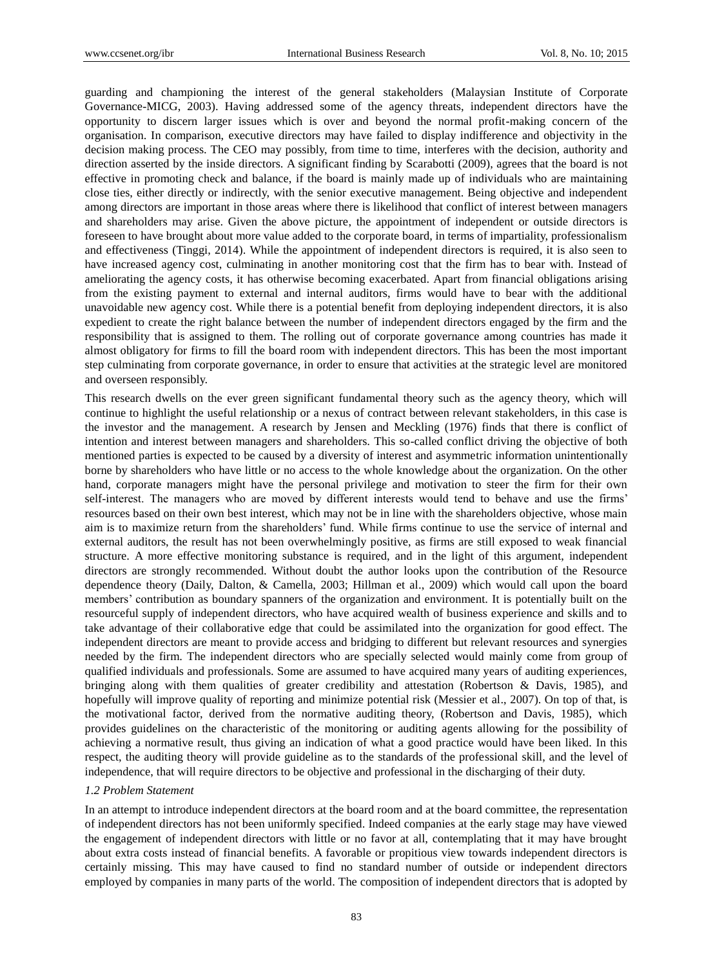guarding and championing the interest of the general stakeholders (Malaysian Institute of Corporate Governance-MICG, 2003). Having addressed some of the agency threats, independent directors have the opportunity to discern larger issues which is over and beyond the normal profit-making concern of the organisation. In comparison, executive directors may have failed to display indifference and objectivity in the decision making process. The CEO may possibly, from time to time, interferes with the decision, authority and direction asserted by the inside directors. A significant finding by Scarabotti (2009), agrees that the board is not effective in promoting check and balance, if the board is mainly made up of individuals who are maintaining close ties, either directly or indirectly, with the senior executive management. Being objective and independent among directors are important in those areas where there is likelihood that conflict of interest between managers and shareholders may arise. Given the above picture, the appointment of independent or outside directors is foreseen to have brought about more value added to the corporate board, in terms of impartiality, professionalism and effectiveness (Tinggi, 2014). While the appointment of independent directors is required, it is also seen to have increased agency cost, culminating in another monitoring cost that the firm has to bear with. Instead of ameliorating the agency costs, it has otherwise becoming exacerbated. Apart from financial obligations arising from the existing payment to external and internal auditors, firms would have to bear with the additional unavoidable new agency cost. While there is a potential benefit from deploying independent directors, it is also expedient to create the right balance between the number of independent directors engaged by the firm and the responsibility that is assigned to them. The rolling out of corporate governance among countries has made it almost obligatory for firms to fill the board room with independent directors. This has been the most important step culminating from corporate governance, in order to ensure that activities at the strategic level are monitored and overseen responsibly.

This research dwells on the ever green significant fundamental theory such as the agency theory, which will continue to highlight the useful relationship or a nexus of contract between relevant stakeholders, in this case is the investor and the management. A research by Jensen and Meckling (1976) finds that there is conflict of intention and interest between managers and shareholders. This so-called conflict driving the objective of both mentioned parties is expected to be caused by a diversity of interest and asymmetric information unintentionally borne by shareholders who have little or no access to the whole knowledge about the organization. On the other hand, corporate managers might have the personal privilege and motivation to steer the firm for their own self-interest. The managers who are moved by different interests would tend to behave and use the firms' resources based on their own best interest, which may not be in line with the shareholders objective, whose main aim is to maximize return from the shareholders' fund. While firms continue to use the service of internal and external auditors, the result has not been overwhelmingly positive, as firms are still exposed to weak financial structure. A more effective monitoring substance is required, and in the light of this argument, independent directors are strongly recommended. Without doubt the author looks upon the contribution of the Resource dependence theory (Daily, Dalton, & Camella, 2003; Hillman et al., 2009) which would call upon the board members' contribution as boundary spanners of the organization and environment. It is potentially built on the resourceful supply of independent directors, who have acquired wealth of business experience and skills and to take advantage of their collaborative edge that could be assimilated into the organization for good effect. The independent directors are meant to provide access and bridging to different but relevant resources and synergies needed by the firm. The independent directors who are specially selected would mainly come from group of qualified individuals and professionals. Some are assumed to have acquired many years of auditing experiences, bringing along with them qualities of greater credibility and attestation (Robertson & Davis, 1985), and hopefully will improve quality of reporting and minimize potential risk (Messier et al., 2007). On top of that, is the motivational factor, derived from the normative auditing theory, (Robertson and Davis, 1985), which provides guidelines on the characteristic of the monitoring or auditing agents allowing for the possibility of achieving a normative result, thus giving an indication of what a good practice would have been liked. In this respect, the auditing theory will provide guideline as to the standards of the professional skill, and the level of independence, that will require directors to be objective and professional in the discharging of their duty.

#### *1.2 Problem Statement*

In an attempt to introduce independent directors at the board room and at the board committee, the representation of independent directors has not been uniformly specified. Indeed companies at the early stage may have viewed the engagement of independent directors with little or no favor at all, contemplating that it may have brought about extra costs instead of financial benefits. A favorable or propitious view towards independent directors is certainly missing. This may have caused to find no standard number of outside or independent directors employed by companies in many parts of the world. The composition of independent directors that is adopted by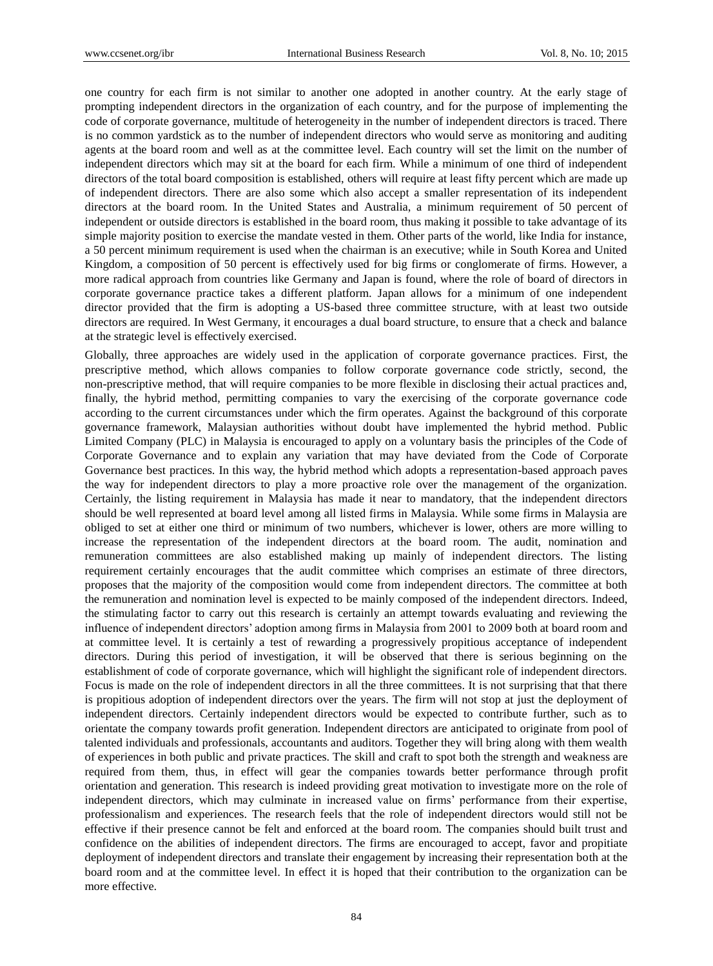one country for each firm is not similar to another one adopted in another country. At the early stage of prompting independent directors in the organization of each country, and for the purpose of implementing the code of corporate governance, multitude of heterogeneity in the number of independent directors is traced. There is no common yardstick as to the number of independent directors who would serve as monitoring and auditing agents at the board room and well as at the committee level. Each country will set the limit on the number of independent directors which may sit at the board for each firm. While a minimum of one third of independent directors of the total board composition is established, others will require at least fifty percent which are made up of independent directors. There are also some which also accept a smaller representation of its independent directors at the board room. In the United States and Australia, a minimum requirement of 50 percent of independent or outside directors is established in the board room, thus making it possible to take advantage of its simple majority position to exercise the mandate vested in them. Other parts of the world, like India for instance, a 50 percent minimum requirement is used when the chairman is an executive; while in South Korea and United Kingdom, a composition of 50 percent is effectively used for big firms or conglomerate of firms. However, a more radical approach from countries like Germany and Japan is found, where the role of board of directors in corporate governance practice takes a different platform. Japan allows for a minimum of one independent director provided that the firm is adopting a US-based three committee structure, with at least two outside directors are required. In West Germany, it encourages a dual board structure, to ensure that a check and balance at the strategic level is effectively exercised.

Globally, three approaches are widely used in the application of corporate governance practices. First, the prescriptive method, which allows companies to follow corporate governance code strictly, second, the non-prescriptive method, that will require companies to be more flexible in disclosing their actual practices and, finally, the hybrid method, permitting companies to vary the exercising of the corporate governance code according to the current circumstances under which the firm operates. Against the background of this corporate governance framework, Malaysian authorities without doubt have implemented the hybrid method. Public Limited Company (PLC) in Malaysia is encouraged to apply on a voluntary basis the principles of the Code of Corporate Governance and to explain any variation that may have deviated from the Code of Corporate Governance best practices. In this way, the hybrid method which adopts a representation-based approach paves the way for independent directors to play a more proactive role over the management of the organization. Certainly, the listing requirement in Malaysia has made it near to mandatory, that the independent directors should be well represented at board level among all listed firms in Malaysia. While some firms in Malaysia are obliged to set at either one third or minimum of two numbers, whichever is lower, others are more willing to increase the representation of the independent directors at the board room. The audit, nomination and remuneration committees are also established making up mainly of independent directors. The listing requirement certainly encourages that the audit committee which comprises an estimate of three directors, proposes that the majority of the composition would come from independent directors. The committee at both the remuneration and nomination level is expected to be mainly composed of the independent directors. Indeed, the stimulating factor to carry out this research is certainly an attempt towards evaluating and reviewing the influence of independent directors' adoption among firms in Malaysia from 2001 to 2009 both at board room and at committee level. It is certainly a test of rewarding a progressively propitious acceptance of independent directors. During this period of investigation, it will be observed that there is serious beginning on the establishment of code of corporate governance, which will highlight the significant role of independent directors. Focus is made on the role of independent directors in all the three committees. It is not surprising that that there is propitious adoption of independent directors over the years. The firm will not stop at just the deployment of independent directors. Certainly independent directors would be expected to contribute further, such as to orientate the company towards profit generation. Independent directors are anticipated to originate from pool of talented individuals and professionals, accountants and auditors. Together they will bring along with them wealth of experiences in both public and private practices. The skill and craft to spot both the strength and weakness are required from them, thus, in effect will gear the companies towards better performance through profit orientation and generation. This research is indeed providing great motivation to investigate more on the role of independent directors, which may culminate in increased value on firms' performance from their expertise, professionalism and experiences. The research feels that the role of independent directors would still not be effective if their presence cannot be felt and enforced at the board room. The companies should built trust and confidence on the abilities of independent directors. The firms are encouraged to accept, favor and propitiate deployment of independent directors and translate their engagement by increasing their representation both at the board room and at the committee level. In effect it is hoped that their contribution to the organization can be more effective.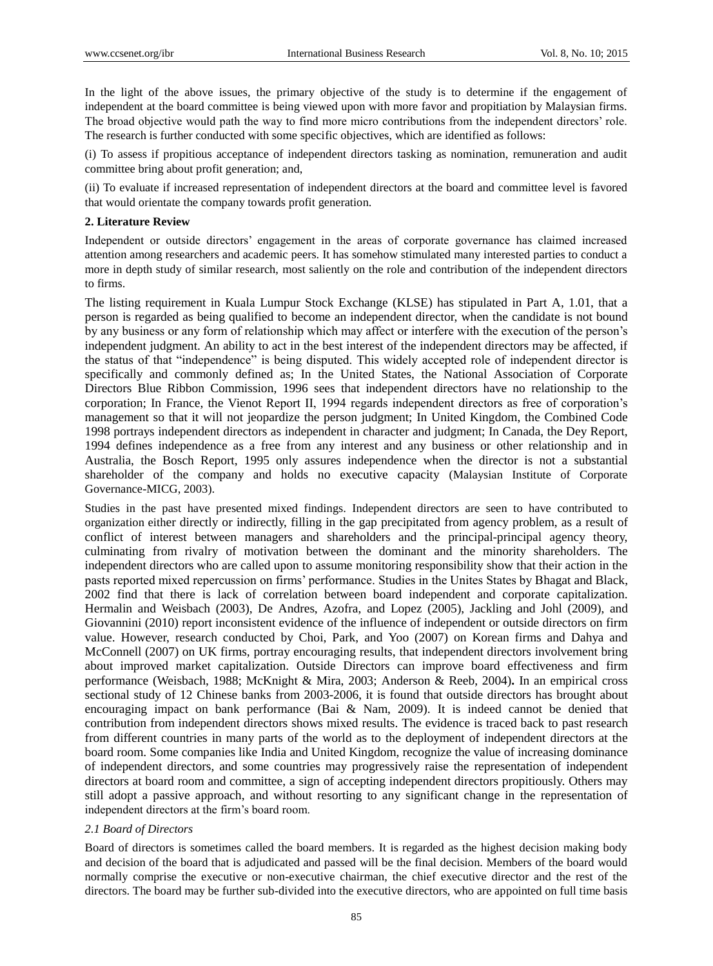In the light of the above issues, the primary objective of the study is to determine if the engagement of independent at the board committee is being viewed upon with more favor and propitiation by Malaysian firms. The broad objective would path the way to find more micro contributions from the independent directors' role. The research is further conducted with some specific objectives, which are identified as follows:

(i) To assess if propitious acceptance of independent directors tasking as nomination, remuneration and audit committee bring about profit generation; and,

(ii) To evaluate if increased representation of independent directors at the board and committee level is favored that would orientate the company towards profit generation.

# **2. Literature Review**

Independent or outside directors' engagement in the areas of corporate governance has claimed increased attention among researchers and academic peers. It has somehow stimulated many interested parties to conduct a more in depth study of similar research, most saliently on the role and contribution of the independent directors to firms.

The listing requirement in Kuala Lumpur Stock Exchange (KLSE) has stipulated in Part A, 1.01, that a person is regarded as being qualified to become an independent director, when the candidate is not bound by any business or any form of relationship which may affect or interfere with the execution of the person's independent judgment. An ability to act in the best interest of the independent directors may be affected, if the status of that "independence" is being disputed. This widely accepted role of independent director is specifically and commonly defined as; In the United States, the National Association of Corporate Directors Blue Ribbon Commission, 1996 sees that independent directors have no relationship to the corporation; In France, the Vienot Report II, 1994 regards independent directors as free of corporation's management so that it will not jeopardize the person judgment; In United Kingdom, the Combined Code 1998 portrays independent directors as independent in character and judgment; In Canada, the Dey Report, 1994 defines independence as a free from any interest and any business or other relationship and in Australia, the Bosch Report, 1995 only assures independence when the director is not a substantial shareholder of the company and holds no executive capacity (Malaysian Institute of Corporate Governance-MICG, 2003).

Studies in the past have presented mixed findings. Independent directors are seen to have contributed to organization either directly or indirectly, filling in the gap precipitated from agency problem, as a result of conflict of interest between managers and shareholders and the principal-principal agency theory, culminating from rivalry of motivation between the dominant and the minority shareholders. The independent directors who are called upon to assume monitoring responsibility show that their action in the pasts reported mixed repercussion on firms' performance. Studies in the Unites States by Bhagat and Black, 2002 find that there is lack of correlation between board independent and corporate capitalization. Hermalin and Weisbach (2003), De Andres, Azofra, and Lopez (2005), Jackling and Johl (2009), and Giovannini (2010) report inconsistent evidence of the influence of independent or outside directors on firm value. However, research conducted by Choi, Park, and Yoo (2007) on Korean firms and Dahya and McConnell (2007) on UK firms, portray encouraging results, that independent directors involvement bring about improved market capitalization. Outside Directors can improve board effectiveness and firm performance (Weisbach, 1988; McKnight & Mira, 2003; Anderson & Reeb, 2004)**.** In an empirical cross sectional study of 12 Chinese banks from 2003-2006, it is found that outside directors has brought about encouraging impact on bank performance (Bai & Nam, 2009). It is indeed cannot be denied that contribution from independent directors shows mixed results. The evidence is traced back to past research from different countries in many parts of the world as to the deployment of independent directors at the board room. Some companies like India and United Kingdom, recognize the value of increasing dominance of independent directors, and some countries may progressively raise the representation of independent directors at board room and committee, a sign of accepting independent directors propitiously. Others may still adopt a passive approach, and without resorting to any significant change in the representation of independent directors at the firm's board room.

# *2.1 Board of Directors*

Board of directors is sometimes called the board members. It is regarded as the highest decision making body and decision of the board that is adjudicated and passed will be the final decision. Members of the board would normally comprise the executive or non-executive chairman, the chief executive director and the rest of the directors. The board may be further sub-divided into the executive directors, who are appointed on full time basis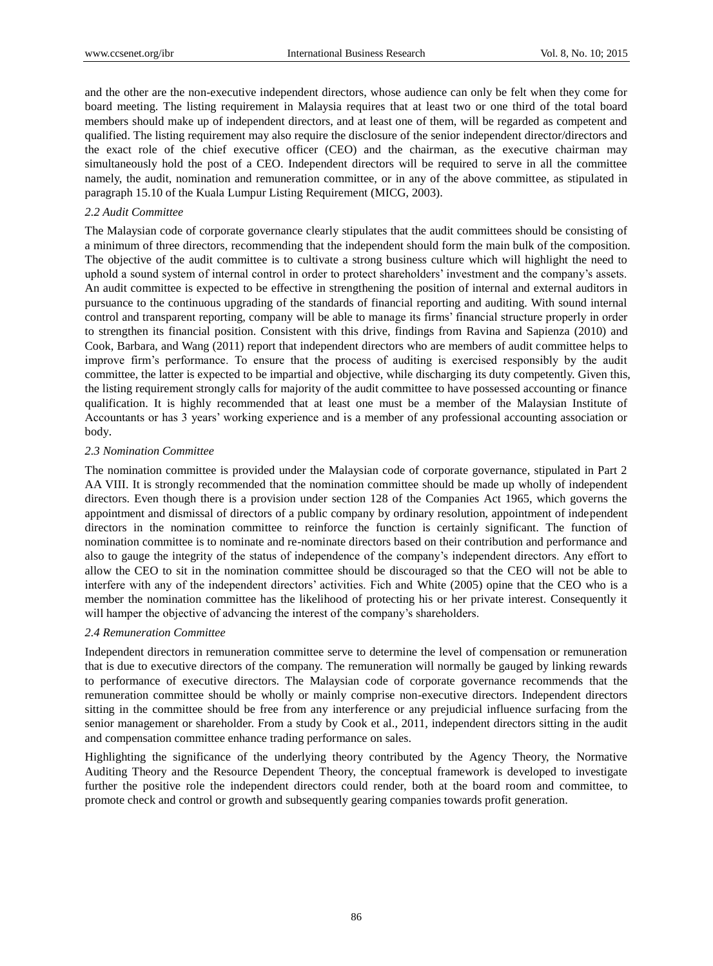and the other are the non-executive independent directors, whose audience can only be felt when they come for board meeting. The listing requirement in Malaysia requires that at least two or one third of the total board members should make up of independent directors, and at least one of them, will be regarded as competent and qualified. The listing requirement may also require the disclosure of the senior independent director/directors and the exact role of the chief executive officer (CEO) and the chairman, as the executive chairman may simultaneously hold the post of a CEO. Independent directors will be required to serve in all the committee namely, the audit, nomination and remuneration committee, or in any of the above committee, as stipulated in paragraph 15.10 of the Kuala Lumpur Listing Requirement (MICG, 2003).

## *2.2 Audit Committee*

The Malaysian code of corporate governance clearly stipulates that the audit committees should be consisting of a minimum of three directors, recommending that the independent should form the main bulk of the composition. The objective of the audit committee is to cultivate a strong business culture which will highlight the need to uphold a sound system of internal control in order to protect shareholders' investment and the company's assets. An audit committee is expected to be effective in strengthening the position of internal and external auditors in pursuance to the continuous upgrading of the standards of financial reporting and auditing. With sound internal control and transparent reporting, company will be able to manage its firms' financial structure properly in order to strengthen its financial position. Consistent with this drive, findings from Ravina and Sapienza (2010) and Cook, Barbara, and Wang (2011) report that independent directors who are members of audit committee helps to improve firm's performance. To ensure that the process of auditing is exercised responsibly by the audit committee, the latter is expected to be impartial and objective, while discharging its duty competently. Given this, the listing requirement strongly calls for majority of the audit committee to have possessed accounting or finance qualification. It is highly recommended that at least one must be a member of the Malaysian Institute of Accountants or has 3 years' working experience and is a member of any professional accounting association or body.

#### *2.3 Nomination Committee*

The nomination committee is provided under the Malaysian code of corporate governance, stipulated in Part 2 AA VIII. It is strongly recommended that the nomination committee should be made up wholly of independent directors. Even though there is a provision under section 128 of the Companies Act 1965, which governs the appointment and dismissal of directors of a public company by ordinary resolution, appointment of independent directors in the nomination committee to reinforce the function is certainly significant. The function of nomination committee is to nominate and re-nominate directors based on their contribution and performance and also to gauge the integrity of the status of independence of the company's independent directors. Any effort to allow the CEO to sit in the nomination committee should be discouraged so that the CEO will not be able to interfere with any of the independent directors' activities. Fich and White (2005) opine that the CEO who is a member the nomination committee has the likelihood of protecting his or her private interest. Consequently it will hamper the objective of advancing the interest of the company's shareholders.

## *2.4 Remuneration Committee*

Independent directors in remuneration committee serve to determine the level of compensation or remuneration that is due to executive directors of the company. The remuneration will normally be gauged by linking rewards to performance of executive directors. The Malaysian code of corporate governance recommends that the remuneration committee should be wholly or mainly comprise non-executive directors. Independent directors sitting in the committee should be free from any interference or any prejudicial influence surfacing from the senior management or shareholder. From a study by Cook et al., 2011, independent directors sitting in the audit and compensation committee enhance trading performance on sales.

Highlighting the significance of the underlying theory contributed by the Agency Theory, the Normative Auditing Theory and the Resource Dependent Theory, the conceptual framework is developed to investigate further the positive role the independent directors could render, both at the board room and committee, to promote check and control or growth and subsequently gearing companies towards profit generation.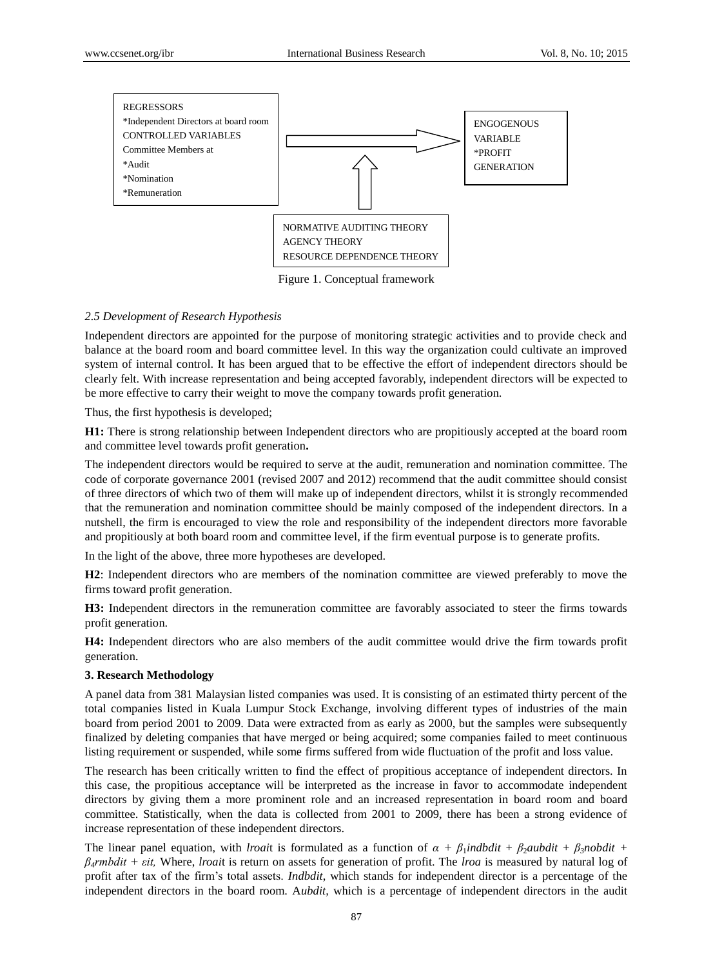

Figure 1. Conceptual framework

#### *2.5 Development of Research Hypothesis*

Independent directors are appointed for the purpose of monitoring strategic activities and to provide check and balance at the board room and board committee level. In this way the organization could cultivate an improved system of internal control. It has been argued that to be effective the effort of independent directors should be clearly felt. With increase representation and being accepted favorably, independent directors will be expected to be more effective to carry their weight to move the company towards profit generation.

Thus, the first hypothesis is developed;

**H1:** There is strong relationship between Independent directors who are propitiously accepted at the board room and committee level towards profit generation**.**

The independent directors would be required to serve at the audit, remuneration and nomination committee. The code of corporate governance 2001 (revised 2007 and 2012) recommend that the audit committee should consist of three directors of which two of them will make up of independent directors, whilst it is strongly recommended that the remuneration and nomination committee should be mainly composed of the independent directors. In a nutshell, the firm is encouraged to view the role and responsibility of the independent directors more favorable and propitiously at both board room and committee level, if the firm eventual purpose is to generate profits.

In the light of the above, three more hypotheses are developed.

**H2**: Independent directors who are members of the nomination committee are viewed preferably to move the firms toward profit generation.

**H3:** Independent directors in the remuneration committee are favorably associated to steer the firms towards profit generation.

**H4:** Independent directors who are also members of the audit committee would drive the firm towards profit generation.

#### **3. Research Methodology**

A panel data from 381 Malaysian listed companies was used. It is consisting of an estimated thirty percent of the total companies listed in Kuala Lumpur Stock Exchange, involving different types of industries of the main board from period 2001 to 2009. Data were extracted from as early as 2000, but the samples were subsequently finalized by deleting companies that have merged or being acquired; some companies failed to meet continuous listing requirement or suspended, while some firms suffered from wide fluctuation of the profit and loss value.

The research has been critically written to find the effect of propitious acceptance of independent directors. In this case, the propitious acceptance will be interpreted as the increase in favor to accommodate independent directors by giving them a more prominent role and an increased representation in board room and board committee. Statistically, when the data is collected from 2001 to 2009, there has been a strong evidence of increase representation of these independent directors.

The linear panel equation, with *lroait* is formulated as a function of  $\alpha + \beta_1 \text{ind}\{dd\} t + \beta_2 \text{ind}\{dd\} t + \beta_3 \text{mod}\{dd\} t + \beta_4$ *β4rmbdit + εit,* Where, *lroai*t is return on assets for generation of profit. The *lroa* is measured by natural log of profit after tax of the firm's total assets. *Indbdit*, which stands for independent director is a percentage of the independent directors in the board room. A*ubdit,* which is a percentage of independent directors in the audit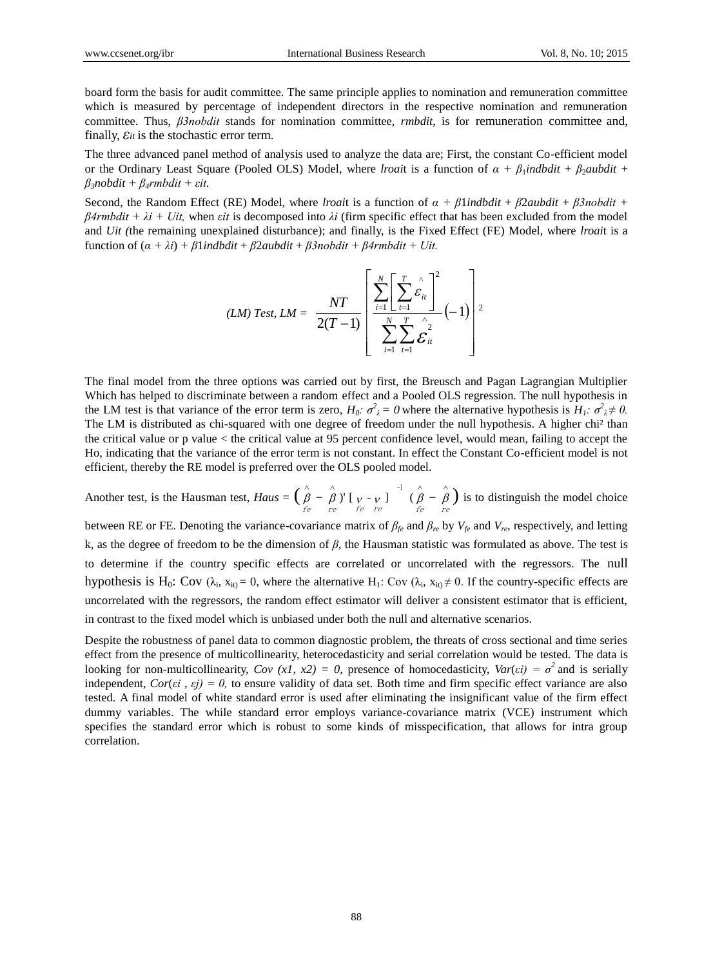board form the basis for audit committee. The same principle applies to nomination and remuneration committee which is measured by percentage of independent directors in the respective nomination and remuneration committee. Thus, *β3nobdit* stands for nomination committee, *rmbdit*, is for remuneration committee and, finally,*εit* is the stochastic error term.

The three advanced panel method of analysis used to analyze the data are; First, the constant Co-efficient model or the Ordinary Least Square (Pooled OLS) Model, where *lroai*t is a function of  $\alpha + \beta_1$ *indbdit* +  $\beta_2$ *aubdit* + *β3nobdit + β4rmbdit + εit.*

Second, the Random Effect (RE) Model, where *lroai*t is a function of *α + β*1*indbdit* + *β*2*aubdit* + *β3nobdit + β4rmbdit +*  $\lambda i$  *+ Uit,* when *εit* is decomposed into  $\lambda i$  (firm specific effect that has been excluded from the model and *Uit (*the remaining unexplained disturbance); and finally, is the Fixed Effect (FE) Model, where *lroai*t is a function of  $(a + \lambda i) + \beta 1$ *indbdit* +  $\beta 2$ *aubdit* +  $\beta 3$ *nobdit* +  $\beta 4$ *rmbdit* + *Uit.* 

$$
(LM) Test, LM = \frac{NT}{2(T-1)} \left[ \frac{\sum_{i=1}^{N} \left[ \sum_{t=1}^{T} \hat{\varepsilon}_{it} \right]^{2}}{\sum_{i=1}^{N} \sum_{t=1}^{T} \hat{\varepsilon}_{it}^{2}} (-1) \right]^{2}
$$

The final model from the three options was carried out by first, the Breusch and Pagan Lagrangian Multiplier Which has helped to discriminate between a random effect and a Pooled OLS regression. The null hypothesis in the LM test is that variance of the error term is zero,  $H_0$ :  $\sigma^2_{\lambda} = 0$  where the alternative hypothesis is  $H_1$ :  $\sigma^2_{\lambda} \neq 0$ . The LM is distributed as chi-squared with one degree of freedom under the null hypothesis. A higher chi² than the critical value or p value < the critical value at 95 percent confidence level, would mean, failing to accept the Ho, indicating that the variance of the error term is not constant. In effect the Constant Co-efficient model is not efficient, thereby the RE model is preferred over the OLS pooled model.

Another test, is the Hausman test,  $Haus = \left(\begin{array}{c} \hat{\beta} \end{array} - \right)$  $\mathop{\beta}\limits_{fe}$  –  $\mathop{\beta}\limits_{re}$  $\wedge$ re )'  $\left[\begin{array}{cc} v & v \\ v & \epsilon \end{array}\right]^{-1}$  ( $\hat{\beta}$  –  $\epsilon$ )  $\mathop{\beta}\limits_{fe}$  –  $\mathop{\beta}\limits_{re}$  $\wedge$  $\hat{\begin{pmatrix} \hat{\beta} \\ r e \end{pmatrix}}$  is to distinguish the model choice

between RE or FE. Denoting the variance-covariance matrix of  $\beta_{fe}$  and  $\beta_{re}$  by  $V_{fe}$  and  $V_{re}$ , respectively, and letting k, as the degree of freedom to be the dimension of *β*, the Hausman statistic was formulated as above. The test is to determine if the country specific effects are correlated or uncorrelated with the regressors. The null hypothesis is H<sub>0</sub>: Cov ( $\lambda_i$ ,  $x_{it}$ ) = 0, where the alternative H<sub>1</sub>: Cov ( $\lambda_i$ ,  $x_{it}$ )  $\neq$  0. If the country-specific effects are uncorrelated with the regressors, the random effect estimator will deliver a consistent estimator that is efficient, in contrast to the fixed model which is unbiased under both the null and alternative scenarios.

Despite the robustness of panel data to common diagnostic problem, the threats of cross sectional and time series effect from the presence of multicollinearity, heterocedasticity and serial correlation would be tested. The data is looking for non-multicollinearity,  $Cov(xI, x2) = 0$ , presence of homocedasticity,  $Var(\varepsilon i) = \sigma^2$  and is serially independent,  $Cor(\epsilon i, \epsilon j) = 0$ , to ensure validity of data set. Both time and firm specific effect variance are also tested. A final model of white standard error is used after eliminating the insignificant value of the firm effect dummy variables. The while standard error employs variance-covariance matrix (VCE) instrument which specifies the standard error which is robust to some kinds of misspecification, that allows for intra group correlation.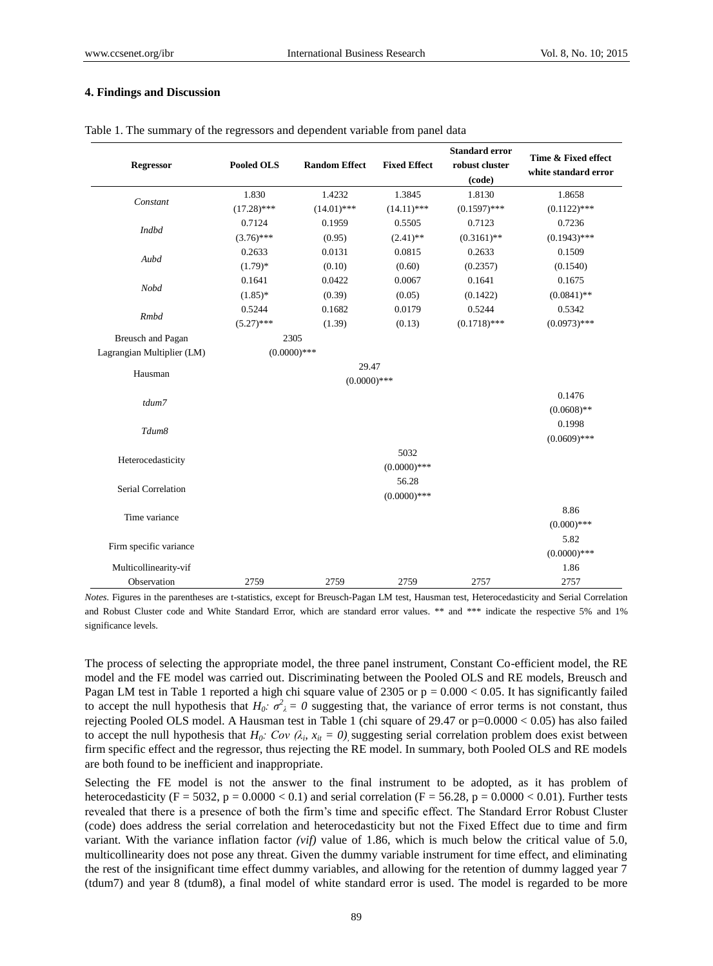### **4. Findings and Discussion**

| <b>Regressor</b>           | Pooled OLS     | <b>Random Effect</b> | <b>Fixed Effect</b> | <b>Standard error</b><br>robust cluster<br>(code) | Time & Fixed effect<br>white standard error |
|----------------------------|----------------|----------------------|---------------------|---------------------------------------------------|---------------------------------------------|
| Constant                   | 1.830          | 1.4232               | 1.3845              | 1.8130                                            | 1.8658                                      |
|                            | $(17.28)$ ***  | $(14.01)$ ***        | $(14.11)$ ***       | $(0.1597)$ ***                                    | $(0.1122)$ ***                              |
| Indbd                      | 0.7124         | 0.1959               | 0.5505              | 0.7123                                            | 0.7236                                      |
|                            | $(3.76)$ ***   | (0.95)               | $(2.41)$ **         | $(0.3161)$ **                                     | $(0.1943)$ ***                              |
| Aubd                       | 0.2633         | 0.0131               | 0.0815              | 0.2633                                            | 0.1509                                      |
|                            | $(1.79)*$      | (0.10)               | (0.60)              | (0.2357)                                          | (0.1540)                                    |
| Nobd                       | 0.1641         | 0.0422               | 0.0067              | 0.1641                                            | 0.1675                                      |
|                            | $(1.85)$ *     | (0.39)               | (0.05)              | (0.1422)                                          | $(0.0841)$ **                               |
| <b>Rmbd</b>                | 0.5244         | 0.1682               | 0.0179              | 0.5244                                            | 0.5342                                      |
|                            | $(5.27)$ ***   | (1.39)               | (0.13)              | $(0.1718)$ ***                                    | $(0.0973)$ ***                              |
| Breusch and Pagan          | 2305           |                      |                     |                                                   |                                             |
| Lagrangian Multiplier (LM) | $(0.0000)$ *** |                      |                     |                                                   |                                             |
| Hausman                    |                | 29.47                |                     |                                                   |                                             |
|                            |                |                      |                     |                                                   |                                             |
| tdum7                      |                |                      |                     |                                                   | 0.1476                                      |
|                            |                |                      |                     |                                                   | $(0.0608)$ **                               |
| Tdum8                      |                |                      |                     |                                                   | 0.1998                                      |
|                            |                |                      |                     |                                                   | $(0.0609)$ ***                              |
| Heterocedasticity          |                |                      | 5032                |                                                   |                                             |
|                            |                |                      | $(0.0000)$ ***      |                                                   |                                             |
| Serial Correlation         |                |                      | 56.28               |                                                   |                                             |
|                            |                |                      | $(0.0000)$ ***      |                                                   |                                             |
| Time variance              |                |                      |                     |                                                   | 8.86                                        |
|                            |                |                      |                     |                                                   | $(0.000)$ ***                               |
| Firm specific variance     |                |                      |                     |                                                   | 5.82                                        |
|                            |                |                      |                     |                                                   | $(0.0000)$ ***                              |
| Multicollinearity-vif      |                |                      |                     |                                                   | 1.86                                        |
| Observation                | 2759           | 2759                 | 2759                | 2757                                              | 2757                                        |

Table 1. The summary of the regressors and dependent variable from panel data

*Notes.* Figures in the parentheses are t-statistics, except for Breusch-Pagan LM test, Hausman test, Heterocedasticity and Serial Correlation and Robust Cluster code and White Standard Error, which are standard error values. \*\* and \*\*\* indicate the respective 5% and 1% significance levels.

The process of selecting the appropriate model, the three panel instrument, Constant Co-efficient model, the RE model and the FE model was carried out. Discriminating between the Pooled OLS and RE models, Breusch and Pagan LM test in Table 1 reported a high chi square value of  $2305$  or  $p = 0.000 < 0.05$ . It has significantly failed to accept the null hypothesis that  $H_0$ :  $\sigma^2$ <sub> $\lambda$ </sub> = 0 suggesting that, the variance of error terms is not constant, thus rejecting Pooled OLS model. A Hausman test in Table 1 (chi square of 29.47 or p=0.0000 < 0.05) has also failed to accept the null hypothesis that  $H_0$ :  $Cov (\lambda_i, x_{it} = 0)$ , suggesting serial correlation problem does exist between firm specific effect and the regressor, thus rejecting the RE model. In summary, both Pooled OLS and RE models are both found to be inefficient and inappropriate.

Selecting the FE model is not the answer to the final instrument to be adopted, as it has problem of heterocedasticity (F = 5032, p = 0.0000 < 0.1) and serial correlation (F = 56.28, p = 0.0000 < 0.01). Further tests revealed that there is a presence of both the firm's time and specific effect. The Standard Error Robust Cluster (code) does address the serial correlation and heterocedasticity but not the Fixed Effect due to time and firm variant. With the variance inflation factor *(vif)* value of 1.86, which is much below the critical value of 5.0, multicollinearity does not pose any threat. Given the dummy variable instrument for time effect, and eliminating the rest of the insignificant time effect dummy variables, and allowing for the retention of dummy lagged year 7 (tdum7) and year 8 (tdum8), a final model of white standard error is used. The model is regarded to be more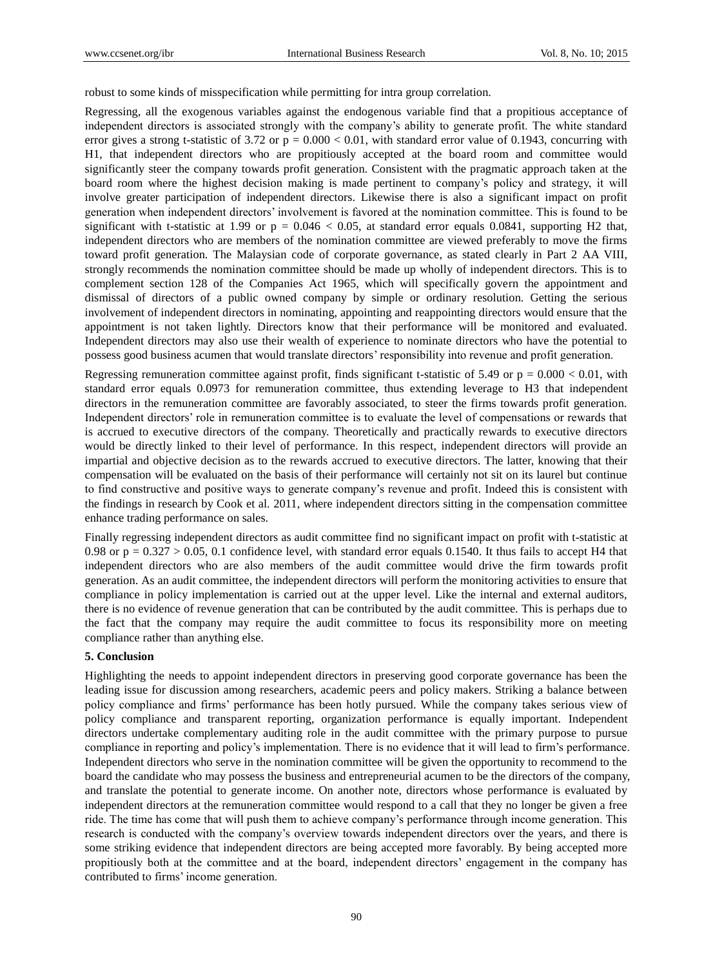robust to some kinds of misspecification while permitting for intra group correlation.

Regressing, all the exogenous variables against the endogenous variable find that a propitious acceptance of independent directors is associated strongly with the company's ability to generate profit. The white standard error gives a strong t-statistic of 3.72 or  $p = 0.000 < 0.01$ , with standard error value of 0.1943, concurring with H1, that independent directors who are propitiously accepted at the board room and committee would significantly steer the company towards profit generation. Consistent with the pragmatic approach taken at the board room where the highest decision making is made pertinent to company's policy and strategy, it will involve greater participation of independent directors. Likewise there is also a significant impact on profit generation when independent directors' involvement is favored at the nomination committee. This is found to be significant with t-statistic at 1.99 or  $p = 0.046 < 0.05$ , at standard error equals 0.0841, supporting H2 that, independent directors who are members of the nomination committee are viewed preferably to move the firms toward profit generation. The Malaysian code of corporate governance, as stated clearly in Part 2 AA VIII, strongly recommends the nomination committee should be made up wholly of independent directors. This is to complement section 128 of the Companies Act 1965, which will specifically govern the appointment and dismissal of directors of a public owned company by simple or ordinary resolution. Getting the serious involvement of independent directors in nominating, appointing and reappointing directors would ensure that the appointment is not taken lightly. Directors know that their performance will be monitored and evaluated. Independent directors may also use their wealth of experience to nominate directors who have the potential to possess good business acumen that would translate directors' responsibility into revenue and profit generation.

Regressing remuneration committee against profit, finds significant t-statistic of 5.49 or  $p = 0.000 < 0.01$ , with standard error equals 0.0973 for remuneration committee, thus extending leverage to H3 that independent directors in the remuneration committee are favorably associated, to steer the firms towards profit generation. Independent directors' role in remuneration committee is to evaluate the level of compensations or rewards that is accrued to executive directors of the company. Theoretically and practically rewards to executive directors would be directly linked to their level of performance. In this respect, independent directors will provide an impartial and objective decision as to the rewards accrued to executive directors. The latter, knowing that their compensation will be evaluated on the basis of their performance will certainly not sit on its laurel but continue to find constructive and positive ways to generate company's revenue and profit. Indeed this is consistent with the findings in research by Cook et al. 2011, where independent directors sitting in the compensation committee enhance trading performance on sales.

Finally regressing independent directors as audit committee find no significant impact on profit with t-statistic at 0.98 or  $p = 0.327 > 0.05$ , 0.1 confidence level, with standard error equals 0.1540. It thus fails to accept H4 that independent directors who are also members of the audit committee would drive the firm towards profit generation. As an audit committee, the independent directors will perform the monitoring activities to ensure that compliance in policy implementation is carried out at the upper level. Like the internal and external auditors, there is no evidence of revenue generation that can be contributed by the audit committee. This is perhaps due to the fact that the company may require the audit committee to focus its responsibility more on meeting compliance rather than anything else.

#### **5. Conclusion**

Highlighting the needs to appoint independent directors in preserving good corporate governance has been the leading issue for discussion among researchers, academic peers and policy makers. Striking a balance between policy compliance and firms' performance has been hotly pursued. While the company takes serious view of policy compliance and transparent reporting, organization performance is equally important. Independent directors undertake complementary auditing role in the audit committee with the primary purpose to pursue compliance in reporting and policy's implementation. There is no evidence that it will lead to firm's performance. Independent directors who serve in the nomination committee will be given the opportunity to recommend to the board the candidate who may possess the business and entrepreneurial acumen to be the directors of the company, and translate the potential to generate income. On another note, directors whose performance is evaluated by independent directors at the remuneration committee would respond to a call that they no longer be given a free ride. The time has come that will push them to achieve company's performance through income generation. This research is conducted with the company's overview towards independent directors over the years, and there is some striking evidence that independent directors are being accepted more favorably. By being accepted more propitiously both at the committee and at the board, independent directors' engagement in the company has contributed to firms' income generation.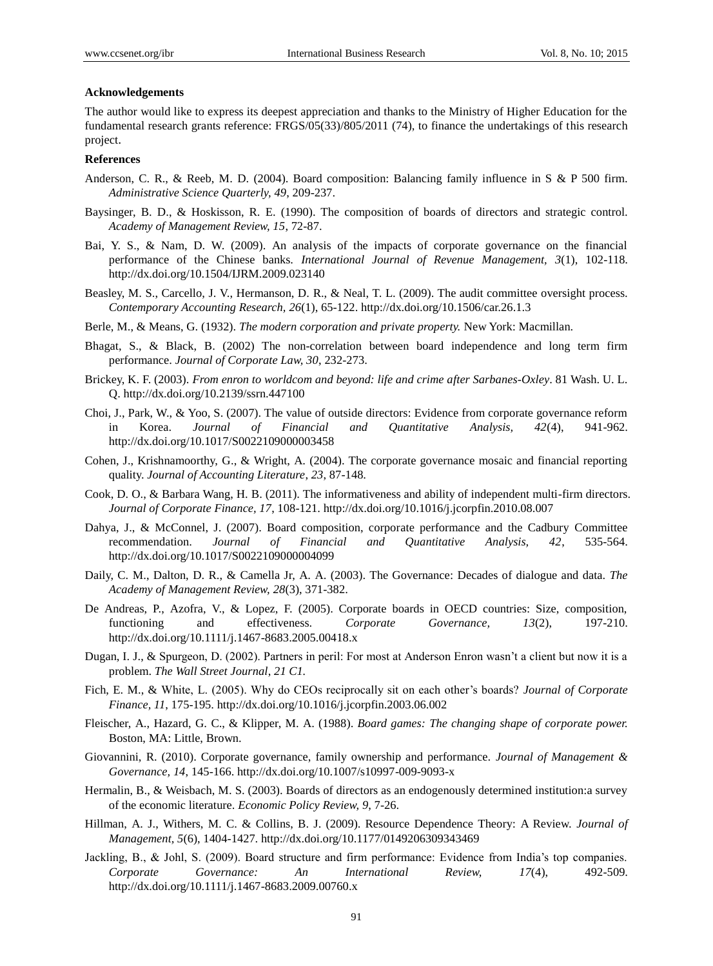#### **Acknowledgements**

The author would like to express its deepest appreciation and thanks to the Ministry of Higher Education for the fundamental research grants reference: FRGS/05(33)/805/2011 (74), to finance the undertakings of this research project.

#### **References**

- Anderson, C. R., & Reeb, M. D. (2004). Board composition: Balancing family influence in S & P 500 firm. *Administrative Science Quarterly, 49*, 209-237.
- Baysinger, B. D., & Hoskisson, R. E. (1990). The composition of boards of directors and strategic control. *Academy of Management Review, 15*, 72-87.
- Bai, Y. S., & Nam, D. W. (2009). An analysis of the impacts of corporate governance on the financial performance of the Chinese banks. *International Journal of Revenue Management, 3*(1), 102-118. <http://dx.doi.org/10.1504/IJRM.2009.023140>
- Beasley, M. S., Carcello, J. V., Hermanson, D. R., & Neal, T. L. (2009). The audit committee oversight process. *Contemporary Accounting Research, 26*(1), 65-122[. http://dx.doi.org/10.1506/car.26.1.3](http://dx.doi.org/10.1506/car.26.1.3)
- Berle, M., & Means, G. (1932). *The modern corporation and private property.* New York: Macmillan.
- Bhagat, S., & Black, B. (2002) The non-correlation between board independence and long term firm performance. *Journal of Corporate Law, 30*, 232-273.
- Brickey, K. F. (2003). *From enron to worldcom and beyond: life and crime after Sarbanes-Oxley*. 81 Wash. U. L. Q.<http://dx.doi.org/10.2139/ssrn.447100>
- Choi, J., Park, W., & Yoo, S. (2007). The value of outside directors: Evidence from corporate governance reform in Korea. *Journal of Financial and Quantitative Analysis, 42*(4), 941-962. http://dx.doi.org/10.1017/S0022109000003458
- Cohen, J., Krishnamoorthy, G., & Wright, A. (2004). The corporate governance mosaic and financial reporting quality. *Journal of Accounting Literature*, *23*, 87-148.
- Cook, D. O., & Barbara Wang, H. B. (2011). The informativeness and ability of independent multi-firm directors. *Journal of Corporate Finance, 17*, 108-121.<http://dx.doi.org/10.1016/j.jcorpfin.2010.08.007>
- Dahya, J., & McConnel, J. (2007). Board composition, corporate performance and the Cadbury Committee recommendation. *Journal of Financial and Quantitative Analysis, 42*, 535-564. http://dx.doi.org/10.1017/S0022109000004099
- Daily, C. M., Dalton, D. R., & Camella Jr, A. A. (2003). The Governance: Decades of dialogue and data. *The Academy of Management Review, 28*(3), 371-382.
- De Andreas, P., Azofra, V., & Lopez, F. (2005). Corporate boards in OECD countries: Size, composition, functioning and effectiveness. *Corporate Governance, 13*(2), 197-210. http://dx.doi.org/10.1111/j.1467-8683.2005.00418.x
- Dugan, I. J., & Spurgeon, D. (2002). Partners in peril: For most at Anderson Enron wasn't a client but now it is a problem. *The Wall Street Journal*, *21 C1.*
- Fich, E. M., & White, L. (2005). Why do CEOs reciprocally sit on each other's boards? *Journal of Corporate Finance, 11*, 175-195. http://dx.doi.org/10.1016/j.jcorpfin.2003.06.002
- Fleischer, A., Hazard, G. C., & Klipper, M. A. (1988). *Board games: The changing shape of corporate power.*  Boston, MA: Little, Brown.
- Giovannini, R. (2010). Corporate governance, family ownership and performance. *Journal of Management & Governance, 14*, 145-166. http://dx.doi.org/10.1007/s10997-009-9093-x
- Hermalin, B., & Weisbach, M. S. (2003). Boards of directors as an endogenously determined institution:a survey of the economic literature. *Economic Policy Review, 9*, 7-26.
- Hillman, A. J., Withers, M. C. & Collins, B. J. (2009). Resource Dependence Theory: A Review. *Journal of Management, 5*(6), 1404-1427. http://dx.doi.org/10.1177/0149206309343469
- Jackling, B., & Johl, S. (2009). Board structure and firm performance: Evidence from India's top companies. *Corporate Governance: An International Review, 17*(4), 492-509. http://dx.doi.org/10.1111/j.1467-8683.2009.00760.x